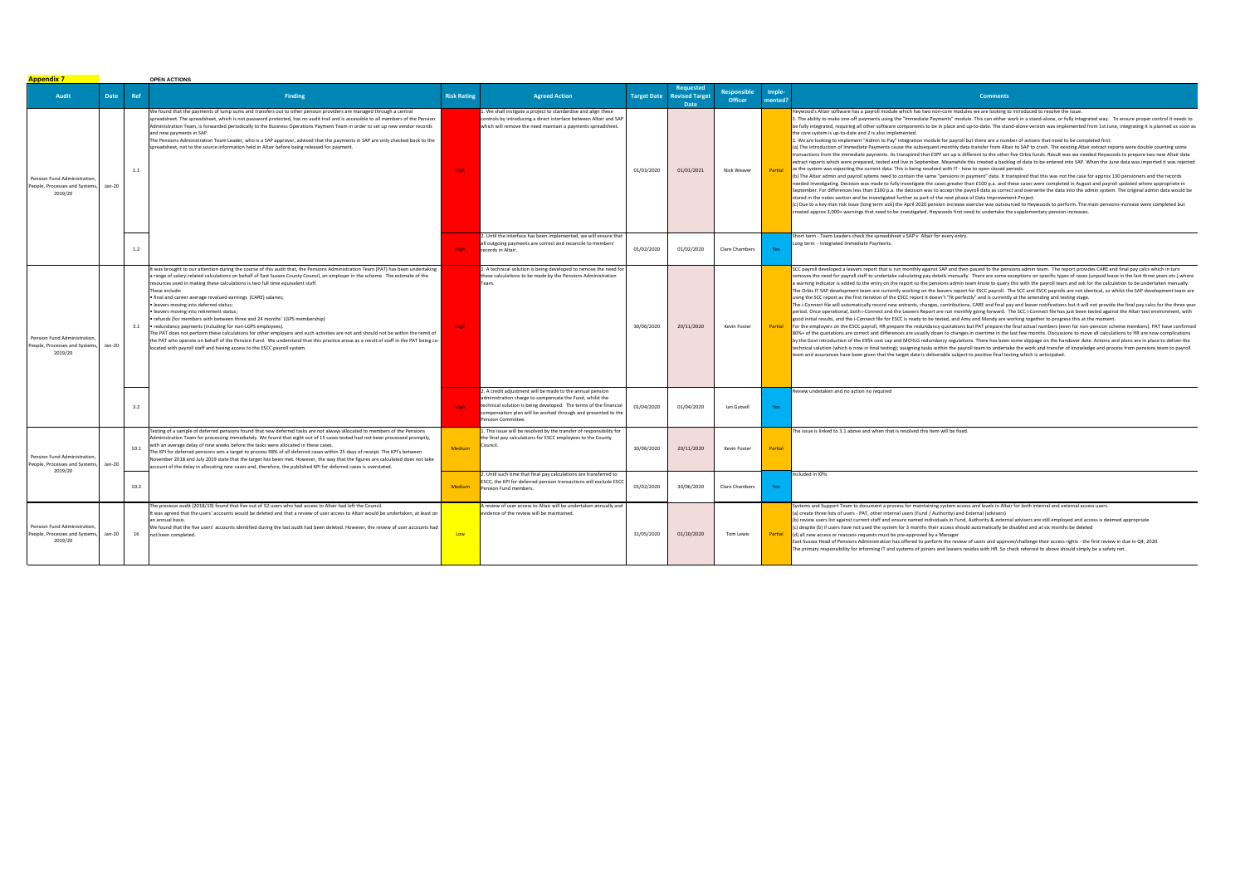| <b>Appendix 7</b>                                                        |        |      | <b>OPEN ACTIONS</b>                                                                                                                                                                                                                                                                                                                                                                                                                                                                                                                                                                                                                                                                                                                                                                                                                                                                                                                                                                                                              |                    |                                                                                                                                                                                                                                                                                 |                    |                               |                                      |                   |                                                                                                                                                                                                                                                                                                                                                                                                                                                                                                                                                                                                                                                                                                                                                                                                                                                                                                                                                                                                                                                                                                                                                                                                                                                                                                                                                                                                                                                                                                                                                                                                                                                                                                                                                                                                                                                                                                                                                                                                                                                                                                                                                                                                                                                                                                                                                                                                                          |  |
|--------------------------------------------------------------------------|--------|------|----------------------------------------------------------------------------------------------------------------------------------------------------------------------------------------------------------------------------------------------------------------------------------------------------------------------------------------------------------------------------------------------------------------------------------------------------------------------------------------------------------------------------------------------------------------------------------------------------------------------------------------------------------------------------------------------------------------------------------------------------------------------------------------------------------------------------------------------------------------------------------------------------------------------------------------------------------------------------------------------------------------------------------|--------------------|---------------------------------------------------------------------------------------------------------------------------------------------------------------------------------------------------------------------------------------------------------------------------------|--------------------|-------------------------------|--------------------------------------|-------------------|--------------------------------------------------------------------------------------------------------------------------------------------------------------------------------------------------------------------------------------------------------------------------------------------------------------------------------------------------------------------------------------------------------------------------------------------------------------------------------------------------------------------------------------------------------------------------------------------------------------------------------------------------------------------------------------------------------------------------------------------------------------------------------------------------------------------------------------------------------------------------------------------------------------------------------------------------------------------------------------------------------------------------------------------------------------------------------------------------------------------------------------------------------------------------------------------------------------------------------------------------------------------------------------------------------------------------------------------------------------------------------------------------------------------------------------------------------------------------------------------------------------------------------------------------------------------------------------------------------------------------------------------------------------------------------------------------------------------------------------------------------------------------------------------------------------------------------------------------------------------------------------------------------------------------------------------------------------------------------------------------------------------------------------------------------------------------------------------------------------------------------------------------------------------------------------------------------------------------------------------------------------------------------------------------------------------------------------------------------------------------------------------------------------------------|--|
| Audit                                                                    | Date   | Ref  | <b>Finding</b>                                                                                                                                                                                                                                                                                                                                                                                                                                                                                                                                                                                                                                                                                                                                                                                                                                                                                                                                                                                                                   | <b>Risk Rating</b> | <b>Agreed Action</b>                                                                                                                                                                                                                                                            | <b>Target Date</b> | <b>Revised Target</b><br>Date | <b>Responsible</b><br><b>Officer</b> | Imple-<br>mented? | <b>Comments</b>                                                                                                                                                                                                                                                                                                                                                                                                                                                                                                                                                                                                                                                                                                                                                                                                                                                                                                                                                                                                                                                                                                                                                                                                                                                                                                                                                                                                                                                                                                                                                                                                                                                                                                                                                                                                                                                                                                                                                                                                                                                                                                                                                                                                                                                                                                                                                                                                          |  |
| Pension Fund Administration<br>People, Processes and Systems,<br>2019/20 | Jan-20 | 1.1  | We found that the payments of lump sums and transfers out to other pension providers are managed through a central<br>spreadsheet. The spreadsheet, which is not password protected, has no audit trail and is accessible to all members of the Pension<br>Administration Team, is forwarded periodically to the Business Operations Payment Team in order to set up new vendor records<br>and new payments in SAP.<br>The Pensions Administration Team Leader, who is a SAP approver, advised that the payments in SAP are only checked back to the<br>spreadsheet, not to the source information held in Altair before being released for payment.                                                                                                                                                                                                                                                                                                                                                                             | High               | . We shall instigate a project to standardise and align these<br>controls by introducing a direct interface between Altair and SAP<br>which will remove the need maintain a payments spreadsheet.                                                                               | 01/03/2020         | 01/01/2021                    | Nick Weaver                          | Partial           | Heywood's Altair software has a payroll module which has two non-core modules we are looking to introduced to resolve the issue.<br>1. The ability to make one-off payments using the "Immediate Payments" module. This can either work in a stand-alone, or fully integrated way. To ensure proper control it needs to<br>be fully integrated, requiring all other software components to be in place and up-to-date. The stand-alone version was implemented from 1st June, integrating it is planned as soon as<br>the core system is up-to-date and 2 is also implemented.<br>2. We are looking to implement "Admin to Pay" integration module for payroll but there are a number of actions that need to be completed first:<br>(a) The introduction of Immediate Payments cause the subsequent monthly data transfer from Altair to SAP to crash. The existing Altair extract reports were double counting some<br>transactions from the immediate payments. Its transpired that ESPF set up is different to the other five Orbis funds. Result was we needed Heywoods to prepare two new Altair data<br>extract reports which were prepared, tested and live in September. Meanwhile this created a backlog of data to be entered into SAP. When the June data was imported it was rejected<br>as the system was expecting the current data. This is being resolved with IT - how to open closed periods.<br>(b) The Altair admin and payroll sytems need to contain the same "pensions in payment" data. It transpired that this was not the case for approx 130 pensioners and the records<br>needed investigating. Decision was made to fully investigate the cases greater than £100 p.a. and these cases were completed in August and payroll updated where appropriate in<br>September. For differences less than £100 p.a. the decision was to accept the payroll data as correct and overwrite the data into the admin system. The original admin data would be<br>stored in the notes section and be investigated further as part of the next phase of Data Improvement Project.<br>(c) Due to a key man risk issue (long term sick) the April 2020 pension increase exercise was outsourced to Heywoods to perform. The main pensions increase were completed but<br>created approx 3,000+ warnings that need to be investigated. Heywoods first need to undertake the supplementary pension increases. |  |
|                                                                          |        | 1.2  |                                                                                                                                                                                                                                                                                                                                                                                                                                                                                                                                                                                                                                                                                                                                                                                                                                                                                                                                                                                                                                  | <b>High</b>        | . Until the interface has been implemented, we will ensure that<br>all outgoing payments are correct and reconcile to members'<br>records in Altair.                                                                                                                            | 01/02/2020         | 01/02/2020                    | Clare Chambers                       |                   | Short term - Team Leaders check the spreadsheet v SAP v Altair for every entry.<br>Long term - Integrated Immediate Payments.                                                                                                                                                                                                                                                                                                                                                                                                                                                                                                                                                                                                                                                                                                                                                                                                                                                                                                                                                                                                                                                                                                                                                                                                                                                                                                                                                                                                                                                                                                                                                                                                                                                                                                                                                                                                                                                                                                                                                                                                                                                                                                                                                                                                                                                                                            |  |
| Pension Fund Administration<br>People, Processes and Systems<br>2019/20  | Jan-20 | 3.1  | It was brought to our attention during the course of this audit that, the Pensions Administration Team (PAT) has been undertaking<br>a range of salary-related calculations on behalf of East Sussex County Council, an employer in the scheme. The estimate of the<br>resources used in making these calculations is two full time equivalent staff.<br>These include:<br>· final and career average revalued earnings (CARE) salaries;<br>· leavers moving into deferred status;<br>· leavers moving into retirement status;<br>• refunds (for members with between three and 24 months' LGPS membership)<br>• redundancy payments (including for non-LGPS employees).<br>The PAT does not perform these calculations for other employers and such activities are not and should not be within the remit of<br>the PAT who operate on behalf of the Pension Fund. We understand that this practice arose as a result of staff in the PAT being co-<br>located with payroll staff and having access to the ESCC payroll system. | High               | L. A technical solution is being developed to remove the need for<br>these calculations to be made by the Pensions Administration<br>Team.                                                                                                                                      | 30/06/2020         | 20/11/2020                    | Kevin Foster                         | Partial           | SCC payroll developed a leavers report that is run monthly against SAP and then passed to the pensions admin team. The report provides CARE and final pay calcs which in turn<br>removes the need for payroll staff to undertake calculating pay details manually. There are some exceptions on specific types of cases (unpaid leave in the last three years etc.) where<br>a warning indicator is added to the entry on the report so the pensions admin team know to query this with the payroll team and ask for the calculation to be undertaken manually.<br>The Orbis IT SAP development team are currently working on the leavers report for ESCC payroll. The SCC and ESCC payrolls are not identical, so whilst the SAP development team are<br>using the SCC report as the first iteration of the ESCC report it doesn't "fit perfectly" and is currently at the amending and testing stage.<br>The i-Connect file will automatically record new entrants, changes, contributions, CARE and final pay and leaver notifications but it will not provide the final pay calcs for the three year<br>period. Once operational, both i-Connect and the Leavers Report are run monthly going forward. The SCC i-Connect file has just been tested against the Altair test environment, with<br>good initial results, and the i-Connect file for ESCC is ready to be tested, and Amy and Mandy are working together to progress this at the moment.<br>For the employers on the ESCC payroll, HR prepare the redundancy quotations but PAT prepare the final actual numbers (even for non-pension scheme members). PAT have confirmed<br>80%+ of the quotations are correct and differences are usually down to changes in overtime in the last few months. Discussions to move all calculations to HR are now complications<br>by the Govt introduction of the £95k cost cap and MCHLG redundancy regulations. There has been some slippage on the handover date. Actions and plans are in place to deliver the<br>technical solution (which is now in final testing); assigning tasks within the payroll team to undertake the work and transfer of knowledge and process from pensions team to payroll<br>team and assurances have been given that the target date is deliverable subject to positive final testing which is anticipated.                                                                         |  |
|                                                                          |        | 3.2  |                                                                                                                                                                                                                                                                                                                                                                                                                                                                                                                                                                                                                                                                                                                                                                                                                                                                                                                                                                                                                                  |                    | . A credit adjustment will be made to the annual pension<br>dministration charge to compensate the Fund, whilst the<br>technical solution is being developed. The terms of the financial<br>compensation plan will be worked through and presented to the<br>Pension Committee. | 01/04/2020         | 01/04/2020                    | lan Gutsell                          |                   | Review undetaken and no action no required                                                                                                                                                                                                                                                                                                                                                                                                                                                                                                                                                                                                                                                                                                                                                                                                                                                                                                                                                                                                                                                                                                                                                                                                                                                                                                                                                                                                                                                                                                                                                                                                                                                                                                                                                                                                                                                                                                                                                                                                                                                                                                                                                                                                                                                                                                                                                                               |  |
| Pension Fund Administration<br>People, Processes and Systems<br>2019/20  | Jan-20 | 10.1 | esting of a sample of deferred pensions found that new deferred tasks are not always allocated to members of the Pensions<br>dministration Team for processing immediately. We found that eight out of 15 cases tested had not been processed promptly,<br>with an average delay of nine weeks before the tasks were allocated in these cases.<br>The KPI for deferred pensions sets a target to process 98% of all deferred cases within 25 days of receipt. The KPI's between<br>November 2018 and July 2019 state that the target has been met. However, the way that the figures are calculated does not take<br>account of the delay in allocating new cases and, therefore, the published KPI for deferred cases is overstated.                                                                                                                                                                                                                                                                                            | Medium             | . This issue will be resolved by the transfer of responsibility for<br>the final pay calculations for ESCC employees to the County<br>Council.                                                                                                                                  | 30/06/2020         | 20/11/2020                    | Kevin Foster                         | Partial           | The issue is linked to 3.1 above and when that is resolved this item will be fixed.                                                                                                                                                                                                                                                                                                                                                                                                                                                                                                                                                                                                                                                                                                                                                                                                                                                                                                                                                                                                                                                                                                                                                                                                                                                                                                                                                                                                                                                                                                                                                                                                                                                                                                                                                                                                                                                                                                                                                                                                                                                                                                                                                                                                                                                                                                                                      |  |
|                                                                          |        | 10.2 |                                                                                                                                                                                                                                                                                                                                                                                                                                                                                                                                                                                                                                                                                                                                                                                                                                                                                                                                                                                                                                  | <b>Medium</b>      | 2. Until such time that final pay calculations are transferred to<br>ESCC, the KPI for deferred pension transactions will exclude ESC<br>Pension Fund members.                                                                                                                  | 01/02/2020         | 30/06/2020                    | Clare Chambers                       | Yes               | Included in KPIs                                                                                                                                                                                                                                                                                                                                                                                                                                                                                                                                                                                                                                                                                                                                                                                                                                                                                                                                                                                                                                                                                                                                                                                                                                                                                                                                                                                                                                                                                                                                                                                                                                                                                                                                                                                                                                                                                                                                                                                                                                                                                                                                                                                                                                                                                                                                                                                                         |  |
| Pension Fund Administration<br>People, Processes and Systems<br>2019/20  | Jan-20 | 16   | The previous audit (2018/19) found that five out of 32 users who had access to Altair had left the Council.<br>twas agreed that the users' accounts would be deleted and that a review of user access to Altair would be undertaken, at least on<br>an annual basis.<br>We found that the five users' accounts identified during the last audit had been deleted. However, the review of user accounts had<br>not been completed.                                                                                                                                                                                                                                                                                                                                                                                                                                                                                                                                                                                                | <b>Low</b>         | I review of user access to Altair will be undertaken annually and<br>evidence of the review will be maintained.                                                                                                                                                                 | 31/05/2020         | 01/10/2020                    | Tom Lewis                            | Partial           | Systems and Support Team to document a process for maintaining system access and levels in Altair for both internal and external access users.<br>(a) create three lists of users - PAT, other internal users (Fund / Authority) and External (advisers)<br>(b) review users list against current staff and ensure named individuals in Fund, Authority & external advisers are still employed and access is deemed appropriate<br>(c) despite (b) if users have not used the system for 3 months their access should automatically be disabled and at six months be deleted<br>(d) all new access or reaccess requests must be pre-approved by a Manager<br>East Sussex Head of Pensions Administration has offered to perform the review of users and approve/challenge their access rights - the first review in due in Q4, 2020.<br>The primary responsibility for informing IT and systems of joiners and leavers resides with HR. So check referred to above should simply be a safety net.                                                                                                                                                                                                                                                                                                                                                                                                                                                                                                                                                                                                                                                                                                                                                                                                                                                                                                                                                                                                                                                                                                                                                                                                                                                                                                                                                                                                                        |  |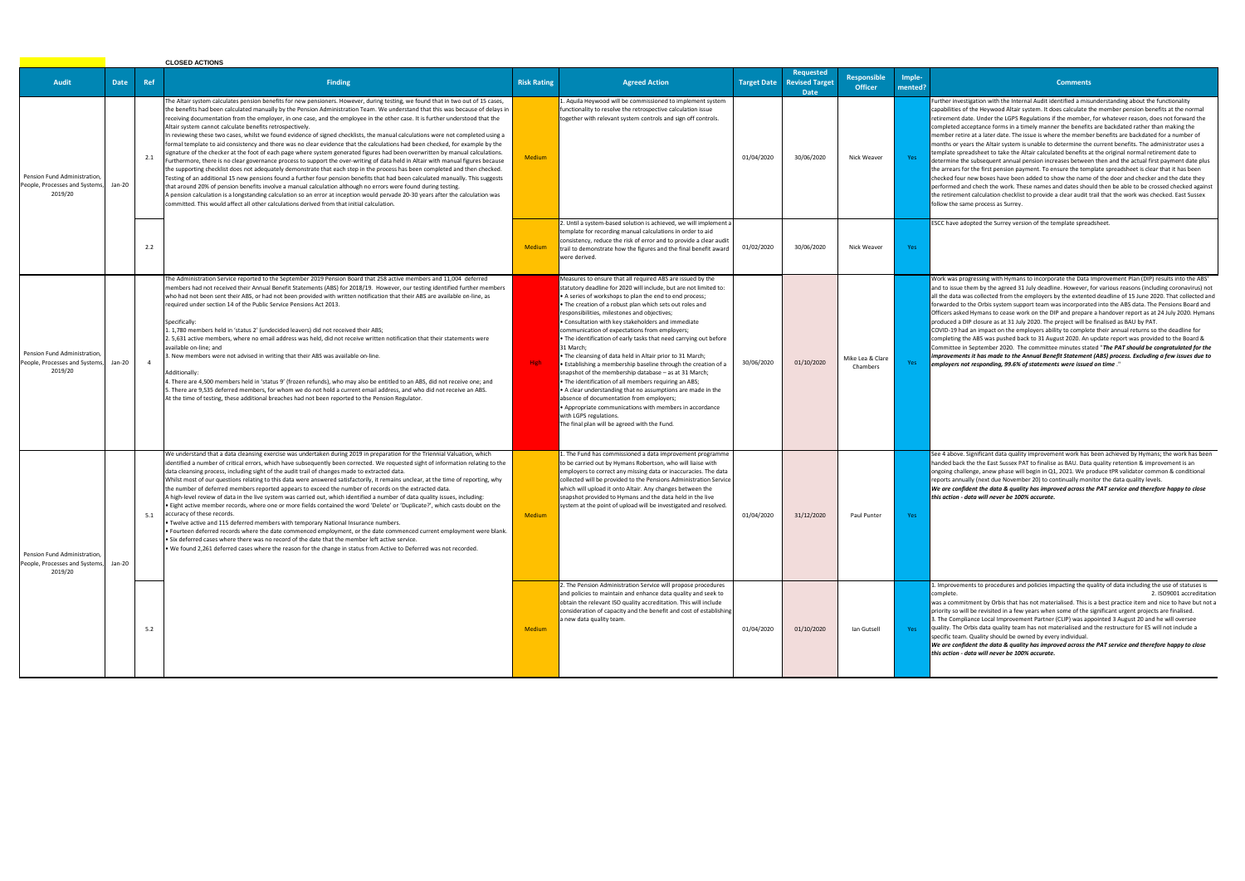## **Comments**

rther investigation with the Internal Audit identified a misunderstanding about the functionality pabilities of the Heywood Altair system. It does calculate the member pension benefits at the normal irement date. Under the LGPS Regulations if the member, for whatever reason, does not forward the mpleted acceptance forms in a timely manner the benefits are backdated rather than making the mber retire at a later date. The issue is where the member benefits are backdated for a number of nths or years the Altair system is unable to determine the current benefits. The administrator uses a nplate spreadsheet to take the Altair calculated benefits at the original normal retirement date to ermine the subsequent annual pension increases between then and the actual first payment date plus arrears for the first pension payment. To ensure the template spreadsheet is clear that it has been ecked four new boxes have been added to show the name of the doer and checker and the date they formed and chech the work. These names and dates should then be able to be crossed checked against retirement calculation checklist to provide a clear audit trail that the work was checked. East Sussex low the same process as Surrey.

CC have adopted the Surrey version of the template spreadsheet.

ork was progressing with Hymans to incorporate the Data Improvement Plan (DIP) results into the ABS' d to issue them by the agreed 31 July deadline. However, for various reasons (including coronavirus) not the data was collected from the employers by the extented deadline of 15 June 2020. That collected and warded to the Orbis system support team was incorporated into the ABS data. The Pensions Board and Ficers asked Hymans to cease work on the DIP and prepare a handover report as at 24 July 2020. Hymans oduced a DIP closure as at 31 July 2020. The project will be finalised as BAU by PAT.

VID-19 had an impact on the employers ability to complete their annual returns so the deadline for mpleting the ABS was pushed back to 31 August 2020. An update report was provided to the Board & mmittee in September 2020. The committee minutes stated "The PAT should be congratulated for the *improvements it has made to the Annual Benefit Statement (ABS) process. Excluding a few issues due to employers not responding, 99.6% of statements were issued on time* ."

e 4 above. Significant data quality improvement work has been achieved by Hymans; the work has been nded back the the East Sussex PAT to finalise as BAU. Data quality retention & improvement is an going challenge, anew phase will begin in Q1, 2021. We produce tPR validator common & conditional ports annually (next due November 20) to continually monitor the data quality levels. *We are confident the data & quality has improved across the PAT service and therefore happy to close this action - data will never be 100% accurate.* 

mprovements to procedures and policies impacting the quality of data including the use of statuses is complete.<br>2. ISO9001 accreditation

.<br>s a commitment by Orbis that has not materialised. This is a best practice item and nice to have but not a prity so will be revisited in a few years when some of the significant urgent projects are finalised. 3. The Compliance Local Improvement Partner (CLIP) was appointed 3 August 20 and he will oversee

ality. The Orbis data quality team has not materialised and the restructure for ES will not include a ecific team. Quality should be owned by every individual.

|                                                                           | <b>CLOSED ACTIONS</b> |                |                                                                                                                                                                                                                                                                                                                                                                                                                                                                                                                                                                                                                                                                                                                                                                                                                                                                                                                                                                                                                                                                                                                                                                                                                                                                                                                                                                                                                                                                                                                                                                                                                              |                    |                                                                                                                                                                                                                                                                                                                                                                                                                                                                                                                                                                                                                                                                                                                                                                                                                                                                                                                                                                               |                    |                                                          |                                      |                   |                                                                                         |
|---------------------------------------------------------------------------|-----------------------|----------------|------------------------------------------------------------------------------------------------------------------------------------------------------------------------------------------------------------------------------------------------------------------------------------------------------------------------------------------------------------------------------------------------------------------------------------------------------------------------------------------------------------------------------------------------------------------------------------------------------------------------------------------------------------------------------------------------------------------------------------------------------------------------------------------------------------------------------------------------------------------------------------------------------------------------------------------------------------------------------------------------------------------------------------------------------------------------------------------------------------------------------------------------------------------------------------------------------------------------------------------------------------------------------------------------------------------------------------------------------------------------------------------------------------------------------------------------------------------------------------------------------------------------------------------------------------------------------------------------------------------------------|--------------------|-------------------------------------------------------------------------------------------------------------------------------------------------------------------------------------------------------------------------------------------------------------------------------------------------------------------------------------------------------------------------------------------------------------------------------------------------------------------------------------------------------------------------------------------------------------------------------------------------------------------------------------------------------------------------------------------------------------------------------------------------------------------------------------------------------------------------------------------------------------------------------------------------------------------------------------------------------------------------------|--------------------|----------------------------------------------------------|--------------------------------------|-------------------|-----------------------------------------------------------------------------------------|
| <b>Audit</b>                                                              | <b>Date</b>           | Ref            | <b>Finding</b>                                                                                                                                                                                                                                                                                                                                                                                                                                                                                                                                                                                                                                                                                                                                                                                                                                                                                                                                                                                                                                                                                                                                                                                                                                                                                                                                                                                                                                                                                                                                                                                                               | <b>Risk Rating</b> | <b>Agreed Action</b>                                                                                                                                                                                                                                                                                                                                                                                                                                                                                                                                                                                                                                                                                                                                                                                                                                                                                                                                                          | <b>Target Date</b> | <b>Requested</b><br><b>Revised Target</b><br><b>Date</b> | <b>Responsible</b><br><b>Officer</b> | Imple-<br>mented? |                                                                                         |
| Pension Fund Administration<br>People, Processes and Systems<br>2019/20   | Jan-20                | 2.1            | The Altair system calculates pension benefits for new pensioners. However, during testing, we found that in two out of 15 cases,<br>the benefits had been calculated manually by the Pension Administration Team. We understand that this was because of delays in<br>receiving documentation from the employer, in one case, and the employee in the other case. It is further understood that the<br>Altair system cannot calculate benefits retrospectively.<br>n reviewing these two cases, whilst we found evidence of signed checklists, the manual calculations were not completed using a<br>formal template to aid consistency and there was no clear evidence that the calculations had been checked, for example by the<br>ignature of the checker at the foot of each page where system generated figures had been overwritten by manual calculations.<br>Furthermore, there is no clear governance process to support the over-writing of data held in Altair with manual figures because<br>the supporting checklist does not adequately demonstrate that each step in the process has been completed and then checked.<br>Testing of an additional 15 new pensions found a further four pension benefits that had been calculated manually. This suggests<br>that around 20% of pension benefits involve a manual calculation although no errors were found during testing.<br>A pension calculation is a longstanding calculation so an error at inception would pervade 20-30 years after the calculation was<br>committed. This would affect all other calculations derived from that initial calculation. | <b>Medium</b>      | 1. Aquila Heywood will be commissioned to implement system<br>functionality to resolve the retrospective calculation issue<br>together with relevant system controls and sign off controls.                                                                                                                                                                                                                                                                                                                                                                                                                                                                                                                                                                                                                                                                                                                                                                                   | 01/04/2020         | 30/06/2020                                               | Nick Weaver                          | Yes               | Fur<br>cap<br>reti<br>con<br>me<br>mo<br>ten<br>det<br>the<br>che<br>per<br>the<br>foll |
|                                                                           |                       | 2.2            |                                                                                                                                                                                                                                                                                                                                                                                                                                                                                                                                                                                                                                                                                                                                                                                                                                                                                                                                                                                                                                                                                                                                                                                                                                                                                                                                                                                                                                                                                                                                                                                                                              | <b>Medium</b>      | 2. Until a system-based solution is achieved, we will implement a<br>template for recording manual calculations in order to aid<br>consistency, reduce the risk of error and to provide a clear audit<br>trail to demonstrate how the figures and the final benefit award<br>were derived.                                                                                                                                                                                                                                                                                                                                                                                                                                                                                                                                                                                                                                                                                    | 01/02/2020         | 30/06/2020                                               | Nick Weaver                          | Yes               | ESC                                                                                     |
| Pension Fund Administration<br>People, Processes and Systems,<br>2019/20  | Jan-20                | $\overline{4}$ | The Administration Service reported to the September 2019 Pension Board that 258 active members and 11,004 deferred<br>members had not received their Annual Benefit Statements (ABS) for 2018/19. However, our testing identified further members<br>who had not been sent their ABS, or had not been provided with written notification that their ABS are available on-line, as<br>required under section 14 of the Public Service Pensions Act 2013.<br>Specifically:<br>L. 1,780 members held in 'status 2' (undecided leavers) did not received their ABS;<br>2. 5,631 active members, where no email address was held, did not receive written notification that their statements were<br>available on-line; and<br>3. New members were not advised in writing that their ABS was available on-line.<br>Additionally:<br>4. There are 4,500 members held in 'status 9' (frozen refunds), who may also be entitled to an ABS, did not receive one; and<br>5. There are 9,535 deferred members, for whom we do not hold a current email address, and who did not receive an ABS.<br>At the time of testing, these additional breaches had not been reported to the Pension Regulator.                                                                                                                                                                                                                                                                                                                                                                                                                                   | High               | Measures to ensure that all required ABS are issued by the<br>statutory deadline for 2020 will include, but are not limited to:<br>A series of workshops to plan the end to end process;<br>The creation of a robust plan which sets out roles and<br>esponsibilities, milestones and objectives;<br>Consultation with key stakeholders and immediate<br>communication of expectations from employers;<br>The identification of early tasks that need carrying out before<br>31 March;<br>The cleansing of data held in Altair prior to 31 March;<br>Establishing a membership baseline through the creation of a<br>snapshot of the membership database - as at 31 March;<br>The identification of all members requiring an ABS;<br>A clear understanding that no assumptions are made in the<br>absence of documentation from employers;<br>Appropriate communications with members in accordance<br>with LGPS regulations.<br>The final plan will be agreed with the Fund. | 30/06/2020         | 01/10/2020                                               | Mike Lea & Clare<br>Chambers         | Yes               | Wo<br>and<br>all t<br>for<br>Off<br>pro<br>CO'<br>con<br>Cor<br>imŗ<br>em               |
| Pension Fund Administration,<br>People, Processes and Systems,<br>2019/20 | Jan-20                | 5.1            | We understand that a data cleansing exercise was undertaken during 2019 in preparation for the Triennial Valuation, which<br>identified a number of critical errors, which have subsequently been corrected. We requested sight of information relating to the<br>data cleansing process, including sight of the audit trail of changes made to extracted data.<br>Whilst most of our questions relating to this data were answered satisfactorily, it remains unclear, at the time of reporting, why<br>the number of deferred members reported appears to exceed the number of records on the extracted data.<br>A high-level review of data in the live system was carried out, which identified a number of data quality issues, including:<br>Eight active member records, where one or more fields contained the word 'Delete' or 'Duplicate?', which casts doubt on the<br>accuracy of these records.<br>Twelve active and 115 deferred members with temporary National Insurance numbers.<br>. Fourteen deferred records where the date commenced employment, or the date commenced current employment were blank.<br>Six deferred cases where there was no record of the date that the member left active service.<br>We found 2,261 deferred cases where the reason for the change in status from Active to Deferred was not recorded.                                                                                                                                                                                                                                                                             | <b>Medium</b>      | 1. The Fund has commissioned a data improvement programme<br>to be carried out by Hymans Robertson, who will liaise with<br>employers to correct any missing data or inaccuracies. The data<br>collected will be provided to the Pensions Administration Service<br>which will upload it onto Altair. Any changes between the<br>snapshot provided to Hymans and the data held in the live<br>system at the point of upload will be investigated and resolved.                                                                                                                                                                                                                                                                                                                                                                                                                                                                                                                | 01/04/2020         | 31/12/2020                                               | Paul Punter                          | Yes               | See<br>har<br>ong<br>rep<br>We<br>this                                                  |
|                                                                           |                       | 5.2            |                                                                                                                                                                                                                                                                                                                                                                                                                                                                                                                                                                                                                                                                                                                                                                                                                                                                                                                                                                                                                                                                                                                                                                                                                                                                                                                                                                                                                                                                                                                                                                                                                              | <b>Medium</b>      | 2. The Pension Administration Service will propose procedures<br>and policies to maintain and enhance data quality and seek to<br>obtain the relevant ISO quality accreditation. This will include<br>consideration of capacity and the benefit and cost of establishing<br>a new data quality team.                                                                                                                                                                                                                                                                                                                                                                                                                                                                                                                                                                                                                                                                          | 01/04/2020         | 01/10/2020                                               | lan Gutsell                          | Yes               | 1.1<br>con<br>wa:<br>prio<br>3.7<br>qua<br>spe<br>We<br>this                            |

*We are confident the data & quality has improved across the PAT service and therefore happy to close this action - data will never be 100% accurate.*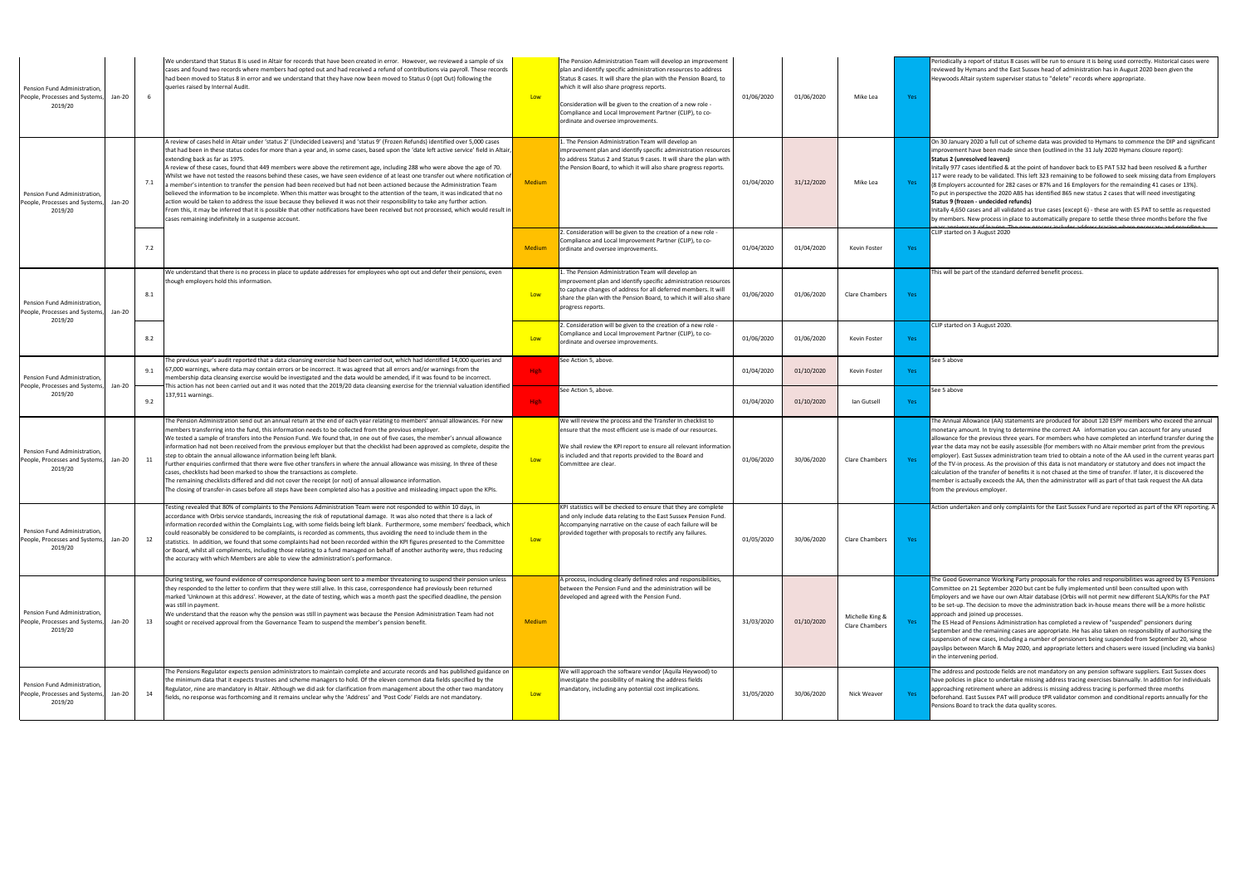| Periodically a report of status 8 cases will be run to ensure it is being used correctly. Historical cases were |
|-----------------------------------------------------------------------------------------------------------------|
| reviewed by Hymans and the East Sussex head of administration has in August 2020 been given the                 |
| Heywoods Altair system superviser status to "delete" records where appropriate.                                 |
|                                                                                                                 |
|                                                                                                                 |
|                                                                                                                 |
|                                                                                                                 |
|                                                                                                                 |
|                                                                                                                 |
|                                                                                                                 |
| On 30 January 2020 a full cut of scheme data was provided to Hymans to commence the DIP and significant         |
| improvement have been made since then (outlined in the 31 July 2020 Hymans closure report):                     |
| <b>Status 2 (unresolved leavers)</b>                                                                            |
| Initally 977 cases identified & at the point of handover back to ES PAT 532 had been resolved & a further       |
| 117 were ready to be validated. This left 323 remaining to be followed to seek missing data from Employers      |
| (8 Employers accounted for 282 cases or 87% and 16 Employers for the remainding 41 cases or 13%).               |
| To put in perspective the 2020 ABS has identified 865 new status 2 cases that will need investigating           |
| Status 9 (frozen - undecided refunds)                                                                           |
| Initally 4,650 cases and all validated as true cases (except 6) - these are with ES PAT to settle as requested  |
| by members. New process in place to automatically prepare to settle these three months before the five          |
| reary of logying. The new process includes address tracing where pecessary and previding                        |
| CLIP started on 3 August 2020                                                                                   |
|                                                                                                                 |
|                                                                                                                 |
|                                                                                                                 |
|                                                                                                                 |
| This will be part of the standard deferred benefit process.                                                     |
|                                                                                                                 |
|                                                                                                                 |
|                                                                                                                 |
|                                                                                                                 |
|                                                                                                                 |
| CLIP started on 3 August 2020.                                                                                  |
|                                                                                                                 |
|                                                                                                                 |
|                                                                                                                 |

e 5 above

e 5 above

e Annual Allowance (AA) statements are produced for about 120 ESPF members who exceed the annual onetary amount. In trying to determine the correct AA information you can account for any unused owance for the previous three years. For members who have completed an interfund transfer during the ar the data may not be easily assessible (for members with no Altair member print from the previous ployer). East Sussex administration team tried to obtain a note of the AA used in the current yearas part the TV-in process. As the provision of this data is not mandatory or statutory and does not impact the culation of the transfer of benefits it is not chased at the time of transfer. If later, it is discovered the mber is actually exceeds the AA, then the administrator will as part of that task request the AA data m the previous employer.

tion undertaken and only complaints for the East Sussex Fund are reported as part of the KPI reporting. A

e Good Governance Working Party proposals for the roles and responsibilities was agreed by ES Pensions mmittee on 21 September 2020 but cant be fully implemented until been consulted upon with nployers and we have our own Altair database (Orbis will not permit new different SLA/KPIs for the PAT to be set-up. The decision to move the administration back in-house means there will be a more holistic proach and joined up processes.

The ES Head of Pensions Administration has completed a review of "suspended" pensioners during ptember and the remaining cases are appropriate. He has also taken on responsibility of authorising the pension of new cases, including a number of pensioners being suspended from September 20, whose payslips between March & May 2020, and appropriate letters and chasers were issued (including via banks) the intervening period.

e address and postcode fields are not mandatory on any pension software suppliers. East Sussex does ve policies in place to undertake missing address tracing exercises biannually. In addition for individuals proaching retirement where an address is missing address tracing is performed three months .<br>forehand. East Sussex PAT will produce tPR validator common and conditional reports annually for the nsions Board to track the data quality scores.

| Pension Fund Administration,<br>People, Processes and Systems<br>2019/20  | Jan-20 | 6   | We understand that Status 8 is used in Altair for records that have been created in error. However, we reviewed a sample of six<br>cases and found two records where members had opted out and had received a refund of contributions via payroll. These records<br>had been moved to Status 8 in error and we understand that they have now been moved to Status 0 (opt Out) following the<br>queries raised by Internal Audit.                                                                                                                                                                                                                                                                                                                                                                                                                                                                                                                                                                                                                                                                                                                                                  | Low           | The Pension Administration Team will develop an improvement<br>plan and identify specific administration resources to address<br>Status 8 cases. It will share the plan with the Pension Board, to<br>which it will also share progress reports.<br>Consideration will be given to the creation of a new role -<br>Compliance and Local Improvement Partner (CLIP), to co-<br>ordinate and oversee improvements. | 01/06/2020 | 01/06/2020 | Mike Lea                          | Yes  | Per<br>rev<br>Hey                                                                 |
|---------------------------------------------------------------------------|--------|-----|-----------------------------------------------------------------------------------------------------------------------------------------------------------------------------------------------------------------------------------------------------------------------------------------------------------------------------------------------------------------------------------------------------------------------------------------------------------------------------------------------------------------------------------------------------------------------------------------------------------------------------------------------------------------------------------------------------------------------------------------------------------------------------------------------------------------------------------------------------------------------------------------------------------------------------------------------------------------------------------------------------------------------------------------------------------------------------------------------------------------------------------------------------------------------------------|---------------|------------------------------------------------------------------------------------------------------------------------------------------------------------------------------------------------------------------------------------------------------------------------------------------------------------------------------------------------------------------------------------------------------------------|------------|------------|-----------------------------------|------|-----------------------------------------------------------------------------------|
| Pension Fund Administration.<br>People, Processes and Systems<br>2019/20  | Jan-20 | 7.1 | A review of cases held in Altair under 'status 2' (Undecided Leavers) and 'status 9' (Frozen Refunds) identified over 5,000 cases<br>that had been in these status codes for more than a year and, in some cases, based upon the 'date left active service' field in Altair,<br>extending back as far as 1975.<br>A review of these cases, found that 449 members were above the retirement age, including 288 who were above the age of 70.<br>Whilst we have not tested the reasons behind these cases, we have seen evidence of at least one transfer out where notification of<br>a member's intention to transfer the pension had been received but had not been actioned because the Administration Team<br>believed the information to be incomplete. When this matter was brought to the attention of the team, it was indicated that no<br>action would be taken to address the issue because they believed it was not their responsibility to take any further action.<br>From this, it may be inferred that it is possible that other notifications have been received but not processed, which would result in<br>cases remaining indefinitely in a suspense account. | <b>Medium</b> | L. The Pension Administration Team will develop an<br>improvement plan and identify specific administration resources<br>to address Status 2 and Status 9 cases. It will share the plan with<br>the Pension Board, to which it will also share progress reports.                                                                                                                                                 | 01/04/2020 | 31/12/2020 | Mike Lea                          | Yes  | On<br>imp<br>Sta<br>Init<br>117<br>(8F)<br>To  <br>Sta<br>Init<br>by              |
|                                                                           |        | 7.2 |                                                                                                                                                                                                                                                                                                                                                                                                                                                                                                                                                                                                                                                                                                                                                                                                                                                                                                                                                                                                                                                                                                                                                                                   | <b>Medium</b> | 2. Consideration will be given to the creation of a new role -<br>Compliance and Local Improvement Partner (CLIP), to co-<br>ordinate and oversee improvements.                                                                                                                                                                                                                                                  | 01/04/2020 | 01/04/2020 | Kevin Foster                      | Yes  | CLII                                                                              |
| Pension Fund Administration,<br>People, Processes and Systems<br>2019/20  | Jan-20 | 8.1 | We understand that there is no process in place to update addresses for employees who opt out and defer their pensions, even<br>though employers hold this information.                                                                                                                                                                                                                                                                                                                                                                                                                                                                                                                                                                                                                                                                                                                                                                                                                                                                                                                                                                                                           | Low           | 1. The Pension Administration Team will develop an<br>improvement plan and identify specific administration resources<br>to capture changes of address for all deferred members. It will<br>share the plan with the Pension Board, to which it will also share<br>progress reports.                                                                                                                              | 01/06/2020 | 01/06/2020 | Clare Chambers                    | Yes  | Thi:                                                                              |
|                                                                           |        | 8.2 |                                                                                                                                                                                                                                                                                                                                                                                                                                                                                                                                                                                                                                                                                                                                                                                                                                                                                                                                                                                                                                                                                                                                                                                   | Low           | 2. Consideration will be given to the creation of a new role -<br>Compliance and Local Improvement Partner (CLIP), to co-<br>ordinate and oversee improvements.                                                                                                                                                                                                                                                  | 01/06/2020 | 01/06/2020 | Kevin Foster                      | Yes  | <b>CLI</b>                                                                        |
| Pension Fund Administration<br>People, Processes and Systems              | Jan-20 | 9.1 | The previous year's audit reported that a data cleansing exercise had been carried out, which had identified 14,000 queries and<br>67,000 warnings, where data may contain errors or be incorrect. It was agreed that all errors and/or warnings from the<br>membership data cleansing exercise would be investigated and the data would be amended, if it was found to be incorrect.<br>This action has not been carried out and it was noted that the 2019/20 data cleansing exercise for the triennial valuation identified                                                                                                                                                                                                                                                                                                                                                                                                                                                                                                                                                                                                                                                    | High          | See Action 5, above.                                                                                                                                                                                                                                                                                                                                                                                             | 01/04/2020 | 01/10/2020 | Kevin Foster                      | Yes  | See                                                                               |
| 2019/20                                                                   |        | 9.2 | 137,911 warnings.                                                                                                                                                                                                                                                                                                                                                                                                                                                                                                                                                                                                                                                                                                                                                                                                                                                                                                                                                                                                                                                                                                                                                                 | High          | See Action 5, above.                                                                                                                                                                                                                                                                                                                                                                                             | 01/04/2020 | 01/10/2020 | lan Gutsell                       | Yes  | See                                                                               |
| Pension Fund Administration<br>People, Processes and Systems<br>2019/20   | Jan-20 | 11  | The Pension Administration send out an annual return at the end of each year relating to members' annual allowances. For new<br>members transferring into the fund, this information needs to be collected from the previous employer.<br>We tested a sample of transfers into the Pension Fund. We found that, in one out of five cases, the member's annual allowance<br>information had not been received from the previous employer but that the checklist had been approved as complete, despite the<br>step to obtain the annual allowance information being left blank.<br>Further enquiries confirmed that there were five other transfers in where the annual allowance was missing. In three of these<br>cases, checklists had been marked to show the transactions as complete.<br>The remaining checklists differed and did not cover the receipt (or not) of annual allowance information.<br>The closing of transfer-in cases before all steps have been completed also has a positive and misleading impact upon the KPIs.                                                                                                                                         | Low           | We will review the process and the Transfer In checklist to<br>ensure that the most efficient use is made of our resources.<br>We shall review the KPI report to ensure all relevant information<br>is included and that reports provided to the Board and<br>Committee are clear.                                                                                                                               | 01/06/2020 | 30/06/2020 | <b>Clare Chambers</b>             | Yes  | The<br>mo<br>allo<br>yea<br>em<br>of t<br>cald<br>me<br>fro                       |
| Pension Fund Administration,<br>People, Processes and Systems<br>2019/20  | Jan-20 | 12  | Testing revealed that 80% of complaints to the Pensions Administration Team were not responded to within 10 days, in<br>accordance with Orbis service standards, increasing the risk of reputational damage. It was also noted that there is a lack of<br>information recorded within the Complaints Log, with some fields being left blank. Furthermore, some members' feedback, which<br>could reasonably be considered to be complaints, is recorded as comments, thus avoiding the need to include them in the<br>statistics. In addition, we found that some complaints had not been recorded within the KPI figures presented to the Committee<br>or Board, whilst all compliments, including those relating to a fund managed on behalf of another authority were, thus reducing<br>the accuracy with which Members are able to view the administration's performance.                                                                                                                                                                                                                                                                                                     | Low           | KPI statistics will be checked to ensure that they are complete<br>and only include data relating to the East Sussex Pension Fund.<br>Accompanying narrative on the cause of each failure will be<br>provided together with proposals to rectify any failures.                                                                                                                                                   | 01/05/2020 | 30/06/2020 | Clare Chambers                    | Yes: | Act                                                                               |
| Pension Fund Administration,<br>People, Processes and Systems<br>2019/20  | Jan-20 | 13  | During testing, we found evidence of correspondence having been sent to a member threatening to suspend their pension unless<br>they responded to the letter to confirm that they were still alive. In this case, correspondence had previously been returned<br>marked 'Unknown at this address'. However, at the date of testing, which was a month past the specified deadline, the pension<br>was still in payment.<br>We understand that the reason why the pension was still in payment was because the Pension Administration Team had not<br>sought or received approval from the Governance Team to suspend the member's pension benefit.                                                                                                                                                                                                                                                                                                                                                                                                                                                                                                                                | <b>Medium</b> | A process, including clearly defined roles and responsibilities,<br>between the Pension Fund and the administration will be<br>developed and agreed with the Pension Fund.                                                                                                                                                                                                                                       | 31/03/2020 | 01/10/2020 | Michelle King &<br>Clare Chambers | Yes  | The<br>Cor<br>Em<br>to <b>k</b><br>app<br><b>The</b><br>Sep<br>sus<br>pay<br>in t |
| Pension Fund Administration,<br>People, Processes and Systems,<br>2019/20 | Jan-20 | 14  | The Pensions Regulator expects pension administrators to maintain complete and accurate records and has published guidance on<br>the minimum data that it expects trustees and scheme managers to hold. Of the eleven common data fields specified by the<br>Regulator, nine are mandatory in Altair. Although we did ask for clarification from management about the other two mandatory<br>fields, no response was forthcoming and it remains unclear why the 'Address' and 'Post Code' Fields are not mandatory.                                                                                                                                                                                                                                                                                                                                                                                                                                                                                                                                                                                                                                                               | Low           | We will approach the software vendor (Aquila Heywood) to<br>nvestigate the possibility of making the address fields<br>mandatory, including any potential cost implications.                                                                                                                                                                                                                                     | 31/05/2020 | 30/06/2020 | Nick Weaver                       | Yes  | The<br>hav<br>app<br>bef<br>Per                                                   |